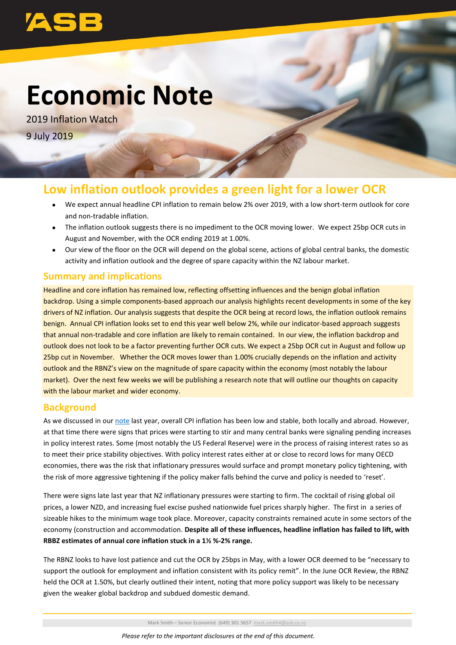# **Economic Note**

2019 Inflation Watch 9 July 2019

# **Low inflation outlook provides a green light for a lower OCR**

- We expect annual headline CPI inflation to remain below 2% over 2019, with a low short-term outlook for core and non-tradable inflation.
- The inflation outlook suggests there is no impediment to the OCR moving lower. We expect 25bp OCR cuts in August and November, with the OCR ending 2019 at 1.00%.
- Our view of the floor on the OCR will depend on the global scene, actions of global central banks, the domestic activity and inflation outlook and the degree of spare capacity within the NZ labour market.

# **Summary and implications**

Headline and core inflation has remained low, reflecting offsetting influences and the benign global inflation backdrop. Using a simple components-based approach our analysis highlights recent developments in some of the key drivers of NZ inflation. Our analysis suggests that despite the OCR being at record lows, the inflation outlook remains benign. Annual CPI inflation looks set to end this year well below 2%, while our indicator-based approach suggests that annual non-tradable and core inflation are likely to remain contained. In our view, the inflation backdrop and outlook does not look to be a factor preventing further OCR cuts. We expect a 25bp OCR cut in August and follow up 25bp cut in November. Whether the OCR moves lower than 1.00% crucially depends on the inflation and activity outlook and the RBNZ's view on the magnitude of spare capacity within the economy (most notably the labour market). Over the next few weeks we will be publishing a research note that will outline our thoughts on capacity with the labour market and wider economy.

# **Background**

As we discussed in our [note](http://www.asb.co.nz/content/dam/asb/documents/reports/economic-note/inflation_watch.pdf) last year, overall CPI inflation has been low and stable, both locally and abroad. However, at that time there were signs that prices were starting to stir and many central banks were signaling pending increases in policy interest rates. Some (most notably the US Federal Reserve) were in the process of raising interest rates so as to meet their price stability objectives. With policy interest rates either at or close to record lows for many OECD economies, there was the risk that inflationary pressures would surface and prompt monetary policy tightening, with the risk of more aggressive tightening if the policy maker falls behind the curve and policy is needed to 'reset'.

There were signs late last year that NZ inflationary pressures were starting to firm. The cocktail of rising global oil prices, a lower NZD, and increasing fuel excise pushed nationwide fuel prices sharply higher. The first in a series of sizeable hikes to the minimum wage took place. Moreover, capacity constraints remained acute in some sectors of the economy (construction and accommodation. **Despite all of these influences, headline inflation has failed to lift, with RBBZ estimates of annual core inflation stuck in a 1½ %-2% range.**

The RBNZ looks to have lost patience and cut the OCR by 25bps in May, with a lower OCR deemed to be "necessary to support the outlook for employment and inflation consistent with its policy remit". In the June OCR Review, the RBNZ held the OCR at 1.50%, but clearly outlined their intent, noting that more policy support was likely to be necessary given the weaker global backdrop and subdued domestic demand.

Mark Smith – Senior Economist (649) 301 5657 [mark.smith4@asb.co.nz](mailto:mark.smith4@asb.co.nz)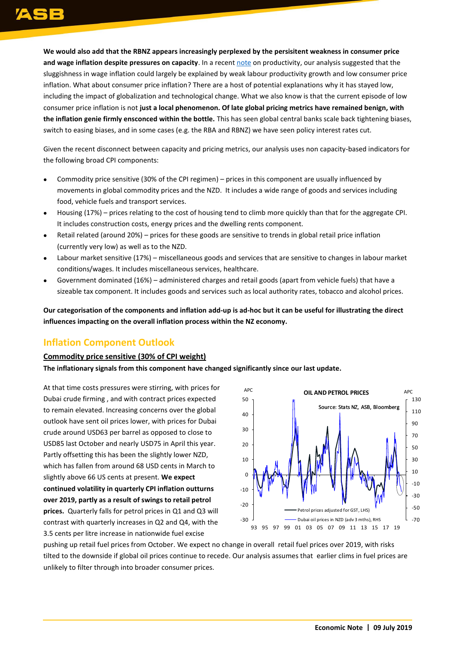**We would also add that the RBNZ appears increasingly perplexed by the persisitent weakness in consumer price and wage inflation despite pressures on capacity**. In a recent [note](http://www.asb.co.nz/content/dam/asb/documents/reports/economic-note/productivity%20-%20may%202019.pdf) on productivity, our analysis suggested that the sluggishness in wage inflation could largely be explained by weak labour productivity growth and low consumer price inflation. What about consumer price inflation? There are a host of potential explanations why it has stayed low, including the impact of globalization and technological change. What we also know is that the current episode of low consumer price inflation is not **just a local phenomenon. Of late global pricing metrics have remained benign, with the inflation genie firmly ensconced within the bottle.** This has seen global central banks scale back tightening biases, switch to easing biases, and in some cases (e.g. the RBA and RBNZ) we have seen policy interest rates cut.

Given the recent disconnect between capacity and pricing metrics, our analysis uses non capacity-based indicators for the following broad CPI components:

- Commodity price sensitive (30% of the CPI regimen) prices in this component are usually influenced by movements in global commodity prices and the NZD. It includes a wide range of goods and services including food, vehicle fuels and transport services.
- Housing (17%) prices relating to the cost of housing tend to climb more quickly than that for the aggregate CPI. It includes construction costs, energy prices and the dwelling rents component.
- Retail related (around 20%) prices for these goods are sensitive to trends in global retail price inflation (currently very low) as well as to the NZD.
- Labour market sensitive (17%) miscellaneous goods and services that are sensitive to changes in labour market conditions/wages. It includes miscellaneous services, healthcare.
- Government dominated (16%) administered charges and retail goods (apart from vehicle fuels) that have a sizeable tax component. It includes goods and services such as local authority rates, tobacco and alcohol prices.

**Our categorisation of the components and inflation add-up is ad-hoc but it can be useful for illustrating the direct influences impacting on the overall inflation process within the NZ economy.**

# **Inflation Component Outlook**

### **Commodity price sensitive (30% of CPI weight)**

**The inflationary signals from this component have changed significantly since our last update.**

At that time costs pressures were stirring, with prices for Dubai crude firming , and with contract prices expected to remain elevated. Increasing concerns over the global outlook have sent oil prices lower, with prices for Dubai crude around USD63 per barrel as opposed to close to USD85 last October and nearly USD75 in April this year. Partly offsetting this has been the slightly lower NZD, which has fallen from around 68 USD cents in March to slightly above 66 US cents at present. **We expect continued volatility in quarterly CPI inflation outturns over 2019, partly as a result of swings to retail petrol prices.** Quarterly falls for petrol prices in Q1 and Q3 will contrast with quarterly increases in Q2 and Q4, with the 3.5 cents per litre increase in nationwide fuel excise



pushing up retail fuel prices from October. We expect no change in overall retail fuel prices over 2019, with risks tilted to the downside if global oil prices continue to recede. Our analysis assumes that earlier clims in fuel prices are unlikely to filter through into broader consumer prices.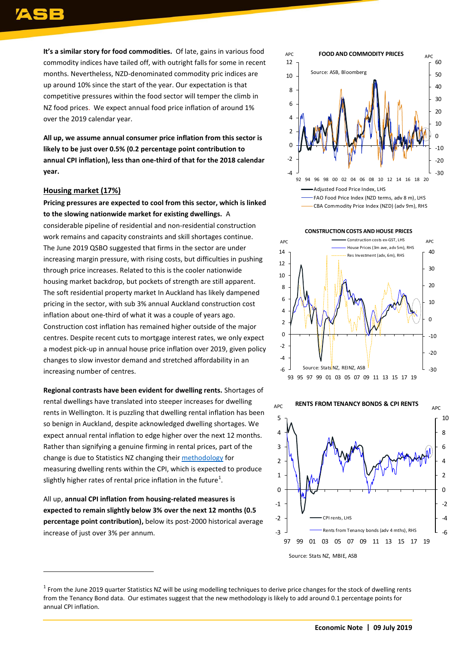**It's a similar story for food commodities.** Of late, gains in various food commodity indices have tailed off, with outright falls for some in recent months. Nevertheless, NZD-denominated commodity pric indices are up around 10% since the start of the year. Our expectation is that competitive pressures within the food sector will temper the climb in NZ food prices. We expect annual food price inflation of around 1% over the 2019 calendar year.

**All up, we assume annual consumer price inflation from this sector is likely to be just over 0.5% (0.2 percentage point contribution to annual CPI inflation), less than one-third of that for the 2018 calendar year.**

### **Housing market (17%)**

 $\overline{a}$ 

**Pricing pressures are expected to cool from this sector, which is linked to the slowing nationwide market for existing dwellings.** A considerable pipeline of residential and non-residential construction work remains and capacity constraints and skill shortages continue. The June 2019 QSBO suggested that firms in the sector are under increasing margin pressure, with rising costs, but difficulties in pushing through price increases. Related to this is the cooler nationwide housing market backdrop, but pockets of strength are still apparent. The soft residential property market In Auckland has likely dampened pricing in the sector, with sub 3% annual Auckland construction cost inflation about one-third of what it was a couple of years ago. Construction cost inflation has remained higher outside of the major centres. Despite recent cuts to mortgage interest rates, we only expect a modest pick-up in annual house price inflation over 2019, given policy changes to slow investor demand and stretched affordability in an increasing number of centres.

**Regional contrasts have been evident for dwelling rents.** Shortages of rental dwellings have translated into steeper increases for dwelling rents in Wellington. It is puzzling that dwelling rental inflation has been so benign in Auckland, despite acknowledged dwelling shortages. We expect annual rental inflation to edge higher over the next 12 months. Rather than signifying a genuine firming in rental prices, part of the change is due to Statistics NZ changing thei[r methodology](http://www.stats.govt.nz/methods/new-methodology-for-rental-prices-in-the-cpi) for measuring dwelling rents within the CPI, which is expected to produce slightly higher rates of rental price inflation in the future $^1$ .

All up, **annual CPI inflation from housing-related measures is expected to remain slightly below 3% over the next 12 months (0.5 percentage point contribution),** below its post-2000 historical average increase of just over 3% per annum.



**CONSTRUCTION COSTS AND HOUSE PRICES**





 $^1$  From the June 2019 quarter Statistics NZ will be using modelling techniques to derive price changes for the stock of dwelling rents from the Tenancy Bond data. Our estimates suggest that the new methodology is likely to add around 0.1 percentage points for annual CPI inflation.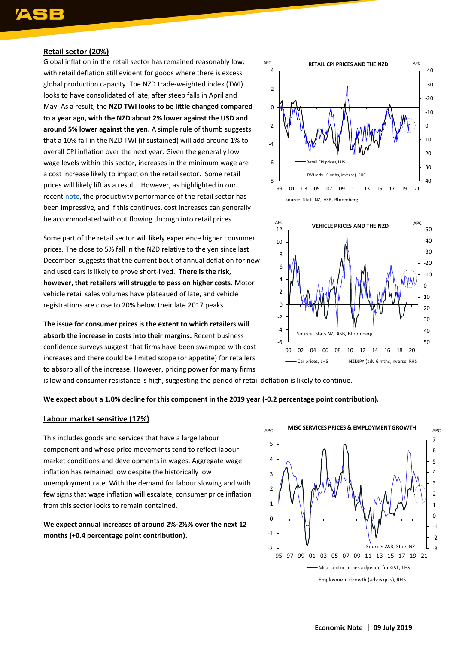### **Retail sector (20%)**

Global inflation in the retail sector has remained reasonably low, with retail deflation still evident for goods where there is excess global production capacity. The NZD trade-weighted index (TWI) looks to have consolidated of late, after steep falls in April and May. As a result, the **NZD TWI looks to be little changed compared to a year ago, with the NZD about 2% lower against the USD and around 5% lower against the yen.** A simple rule of thumb suggests that a 10% fall in the NZD TWI (if sustained) will add around 1% to overall CPI inflation over the next year. Given the generally low wage levels within this sector, increases in the minimum wage are a cost increase likely to impact on the retail sector. Some retail prices will likely lift as a result. However, as highlighted in our recent [note,](https://www.asb.co.nz/content/dam/asb/documents/reports/economic-note/productivity%20-%20may%202019.pdf) the productivity performance of the retail sector has been impressive, and if this continues, cost increases can generally be accommodated without flowing through into retail prices.

Some part of the retail sector will likely experience higher consumer prices. The close to 5% fall in the NZD relative to the yen since last December suggests that the current bout of annual deflation for new and used cars is likely to prove short-lived. **There is the risk, however, that retailers will struggle to pass on higher costs.** Motor vehicle retail sales volumes have plateaued of late, and vehicle registrations are close to 20% below their late 2017 peaks.

**The issue for consumer prices is the extent to which retailers will absorb the increase in costs into their margins.** Recent business confidence surveys suggest that firms have been swamped with cost increases and there could be limited scope (or appetite) for retailers to absorb all of the increase. However, pricing power for many firms





is low and consumer resistance is high, suggesting the period of retail deflation is likely to continue.

#### **We expect about a 1.0% decline for this component in the 2019 year (-0.2 percentage point contribution).**

### **Labour market sensitive (17%)**

This includes goods and services that have a large labour component and whose price movements tend to reflect labour market conditions and developments in wages. Aggregate wage inflation has remained low despite the historically low unemployment rate. With the demand for labour slowing and with few signs that wage inflation will escalate, consumer price inflation from this sector looks to remain contained.

**We expect annual increases of around 2%-2½% over the next 12 months (+0.4 percentage point contribution).**

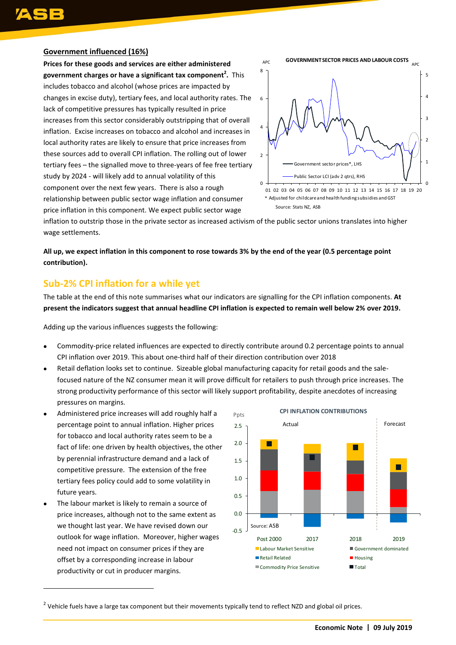### **Government influenced (16%)**

**Prices for these goods and services are either administered government charges or have a significant tax component<sup>2</sup> .** This includes tobacco and alcohol (whose prices are impacted by changes in excise duty), tertiary fees, and local authority rates. The lack of competitive pressures has typically resulted in price increases from this sector considerably outstripping that of overall inflation. Excise increases on tobacco and alcohol and increases in local authority rates are likely to ensure that price increases from these sources add to overall CPI inflation. The rolling out of lower tertiary fees – the signalled move to three-years of fee free tertiary study by 2024 - will likely add to annual volatility of this component over the next few years. There is also a rough relationship between public sector wage inflation and consumer price inflation in this component. We expect public sector wage



inflation to outstrip those in the private sector as increased activism of the public sector unions translates into higher wage settlements.

**All up, we expect inflation in this component to rose towards 3% by the end of the year (0.5 percentage point contribution).**

# **Sub-2% CPI inflation for a while yet**

The table at the end of this note summarises what our indicators are signalling for the CPI inflation components. **At present the indicators suggest that annual headline CPI inflation is expected to remain well below 2% over 2019.**

Adding up the various influences suggests the following:

- Commodity-price related influences are expected to directly contribute around 0.2 percentage points to annual CPI inflation over 2019. This about one-third half of their direction contribution over 2018
- Retail deflation looks set to continue. Sizeable global manufacturing capacity for retail goods and the salefocused nature of the NZ consumer mean it will prove difficult for retailers to push through price increases. The strong productivity performance of this sector will likely support profitability, despite anecdotes of increasing pressures on margins.
- Administered price increases will add roughly half a percentage point to annual inflation. Higher prices for tobacco and local authority rates seem to be a fact of life: one driven by health objectives, the other by perennial infrastructure demand and a lack of competitive pressure. The extension of the free tertiary fees policy could add to some volatility in future years.
- The labour market is likely to remain a source of price increases, although not to the same extent as we thought last year. We have revised down our outlook for wage inflation. Moreover, higher wages need not impact on consumer prices if they are offset by a corresponding increase in labour productivity or cut in producer margins.

 $\overline{a}$ 



<sup>2</sup> Vehicle fuels have a large tax component but their movements typically tend to reflect NZD and global oil prices.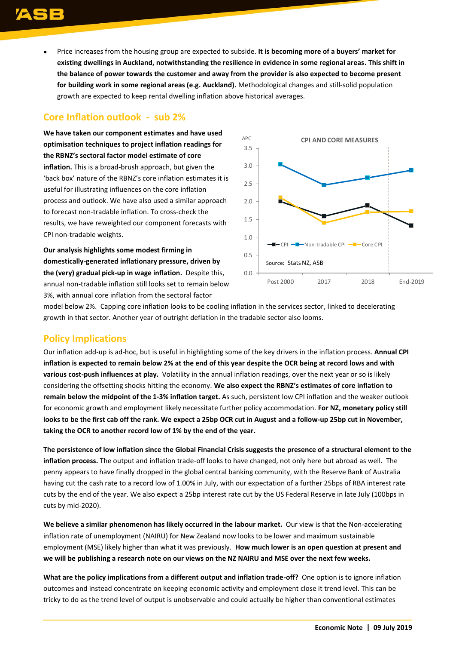Price increases from the housing group are expected to subside. **It is becoming more of a buyers' market for existing dwellings in Auckland, notwithstanding the resilience in evidence in some regional areas. This shift in the balance of power towards the customer and away from the provider is also expected to become present for building work in some regional areas (e.g. Auckland).** Methodological changes and still-solid population growth are expected to keep rental dwelling inflation above historical averages.

# **Core Inflation outlook - sub 2%**

**We have taken our component estimates and have used optimisation techniques to project inflation readings for the RBNZ's sectoral factor model estimate of core inflation.** This is a broad-brush approach, but given the 'back box' nature of the RBNZ's core inflation estimates it is useful for illustrating influences on the core inflation process and outlook. We have also used a similar approach to forecast non-tradable inflation. To cross-check the results, we have reweighted our component forecasts with CPI non-tradable weights.

**Our analysis highlights some modest firming in domestically-generated inflationary pressure, driven by the (very) gradual pick-up in wage inflation.** Despite this, annual non-tradable inflation still looks set to remain below 3%, with annual core inflation from the sectoral factor



model below 2%. Capping core inflation looks to be cooling inflation in the services sector, linked to decelerating growth in that sector. Another year of outright deflation in the tradable sector also looms.

# **Policy Implications**

Our inflation add-up is ad-hoc, but is useful in highlighting some of the key drivers in the inflation process. **Annual CPI inflation is expected to remain below 2% at the end of this year despite the OCR being at record lows and with various cost-push influences at play.** Volatility in the annual inflation readings, over the next year or so is likely considering the offsetting shocks hitting the economy. **We also expect the RBNZ's estimates of core inflation to remain below the midpoint of the 1-3% inflation target.** As such, persistent low CPI inflation and the weaker outlook for economic growth and employment likely necessitate further policy accommodation. **For NZ, monetary policy still looks to be the first cab off the rank. We expect a 25bp OCR cut in August and a follow-up 25bp cut in November, taking the OCR to another record low of 1% by the end of the year.** 

**The persistence of low inflation since the Global Financial Crisis suggests the presence of a structural element to the inflation process.** The output and inflation trade-off looks to have changed, not only here but abroad as well. The penny appears to have finally dropped in the global central banking community, with the Reserve Bank of Australia having cut the cash rate to a record low of 1.00% in July, with our expectation of a further 25bps of RBA interest rate cuts by the end of the year. We also expect a 25bp interest rate cut by the US Federal Reserve in late July (100bps in cuts by mid-2020).

**We believe a similar phenomenon has likely occurred in the labour market.** Our view is that the Non-accelerating inflation rate of unemployment (NAIRU) for New Zealand now looks to be lower and maximum sustainable employment (MSE) likely higher than what it was previously. **How much lower is an open question at present and we will be publishing a research note on our views on the NZ NAIRU and MSE over the next few weeks.**

**What are the policy implications from a different output and inflation trade-off?** One option is to ignore inflation outcomes and instead concentrate on keeping economic activity and employment close it trend level. This can be tricky to do as the trend level of output is unobservable and could actually be higher than conventional estimates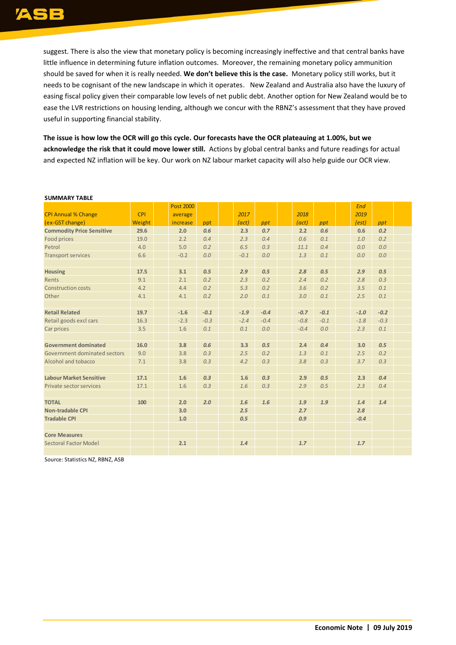suggest. There is also the view that monetary policy is becoming increasingly ineffective and that central banks have little influence in determining future inflation outcomes. Moreover, the remaining monetary policy ammunition should be saved for when it is really needed. **We don't believe this is the case.** Monetary policy still works, but it needs to be cognisant of the new landscape in which it operates. New Zealand and Australia also have the luxury of easing fiscal policy given their comparable low levels of net public debt. Another option for New Zealand would be to ease the LVR restrictions on housing lending, although we concur with the RBNZ's assessment that they have proved useful in supporting financial stability.

**The issue is how low the OCR will go this cycle. Our forecasts have the OCR plateauing at 1.00%, but we acknowledge the risk that it could move lower still.** Actions by global central banks and future readings for actual and expected NZ inflation will be key. Our work on NZ labour market capacity will also help guide our OCR view.

|                                  |            | <b>Post 2000</b> |        |        |        |        |        | <b>End</b> |        |  |
|----------------------------------|------------|------------------|--------|--------|--------|--------|--------|------------|--------|--|
| <b>CPI Annual % Change</b>       | <b>CPI</b> | average          |        | 2017   |        | 2018   |        | 2019       |        |  |
| (ex-GST change)                  | Weight     | increase         | ppt    | (act)  | ppt    | (act)  | ppt    | (est)      | ppt    |  |
| <b>Commodity Price Sensitive</b> | 29.6       | 2.0              | 0.6    | 2.3    | 0.7    | 2.2    | 0.6    | 0.6        | 0.2    |  |
| Food prices                      | 19.0       | 2.2              | 0.4    | 2.3    | 0.4    | 0.6    | 0.1    | 1.0        | 0.2    |  |
| Petrol                           | 4.0        | 5.0              | 0.2    | 6.5    | 0.3    | 11.1   | 0.4    | 0.0        | 0.0    |  |
| <b>Transport services</b>        | 6.6        | $-0.2$           | 0.0    | $-0.1$ | 0.0    | 1.3    | 0.1    | 0.0        | 0.0    |  |
|                                  |            |                  |        |        |        |        |        |            |        |  |
| <b>Housing</b>                   | 17.5       | 3.1              | 0.5    | 2.9    | 0.5    | 2.8    | 0.5    | 2.9        | 0.5    |  |
| Rents                            | 9.1        | 2.1              | 0.2    | 2.3    | 0.2    | 2.4    | 0.2    | 2.8        | 0.3    |  |
| <b>Construction costs</b>        | 4.2        | 4.4              | 0.2    | 5.3    | 0.2    | 3.6    | 0.2    | 3.5        | 0.1    |  |
| Other                            | 4.1        | 4.1              | 0.2    | 2.0    | 0.1    | 3.0    | 0.1    | 2.5        | 0.1    |  |
|                                  |            |                  |        |        |        |        |        |            |        |  |
| <b>Retail Related</b>            | 19.7       | $-1.6$           | $-0.1$ | $-1.9$ | $-0.4$ | $-0.7$ | $-0.1$ | $-1.0$     | $-0.2$ |  |
| Retail goods excl cars           | 16.3       | $-2.3$           | $-0.3$ | $-2.4$ | $-0.4$ | $-0.8$ | $-0.1$ | $-1.8$     | $-0.3$ |  |
| Car prices                       | 3.5        | 1.6              | 0.1    | 0.1    | 0.0    | $-0.4$ | 0.0    | 2.3        | 0.1    |  |
|                                  |            |                  |        |        |        |        |        |            |        |  |
| <b>Government dominated</b>      | 16.0       | 3.8              | 0.6    | 3.3    | 0.5    | 2.4    | 0.4    | 3.0        | 0.5    |  |
| Government dominated sectors     | 9.0        | 3.8              | 0.3    | 2.5    | 0.2    | 1.3    | 0.1    | 2.5        | 0.2    |  |
| Alcohol and tobacco              | 7.1        | 3.8              | 0.3    | 4.2    | 0.3    | 3.8    | 0.3    | 3.7        | 0.3    |  |
|                                  |            |                  |        |        |        |        |        |            |        |  |
| <b>Labour Market Sensitive</b>   | 17.1       | 1.6              | 0.3    | 1.6    | 0.3    | 2.9    | 0.5    | 2.3        | 0.4    |  |
| Private sector services          | 17.1       | 1.6              | 0.3    | 1.6    | 0.3    | 2.9    | 0.5    | 2.3        | 0.4    |  |
|                                  |            |                  |        |        |        |        |        |            |        |  |
| <b>TOTAL</b>                     | 100        | 2.0              | 2.0    | 1.6    | 1.6    | 1.9    | 1.9    | 1.4        | 1.4    |  |
| <b>Non-tradable CPI</b>          |            | 3.0              |        | 2.5    |        | 2.7    |        | 2.8        |        |  |
| <b>Tradable CPI</b>              |            | 1.0              |        | 0.5    |        | 0.9    |        | $-0.4$     |        |  |
|                                  |            |                  |        |        |        |        |        |            |        |  |
| <b>Core Measures</b>             |            |                  |        |        |        |        |        |            |        |  |
| Sectoral Factor Model            |            | 2.1              |        | 1.4    |        | 1.7    |        | 1.7        |        |  |
|                                  |            |                  |        |        |        |        |        |            |        |  |

#### **SUMMARY TABLE**

Source: Statistics NZ, RBNZ, ASB